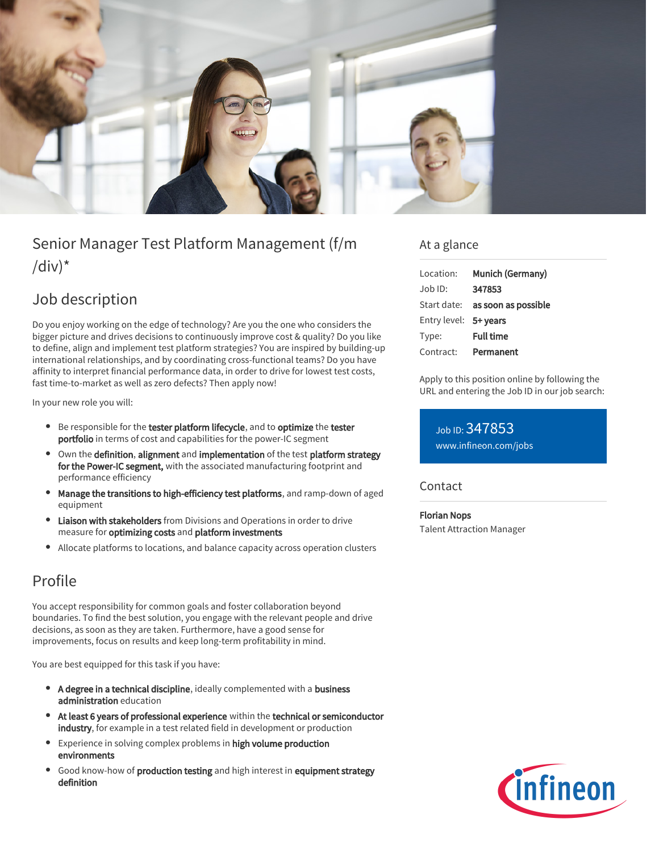

# Senior Manager Test Platform Management (f/m  $\frac{1}{d}$

## Job description

Do you enjoy working on the edge of technology? Are you the one who considers the bigger picture and drives decisions to continuously improve cost & quality? Do you like to define, align and implement test platform strategies? You are inspired by building-up international relationships, and by coordinating cross-functional teams? Do you have affinity to interpret financial performance data, in order to drive for lowest test costs, fast time-to-market as well as zero defects? Then apply now!

In your new role you will:

- **Be responsible for the tester platform lifecycle, and to optimize the tester** portfolio in terms of cost and capabilities for the power-IC segment
- Own the definition, alignment and implementation of the test platform strategy for the Power-IC segment, with the associated manufacturing footprint and performance efficiency
- Manage the transitions to high-efficiency test platforms, and ramp-down of aged equipment
- Liaison with stakeholders from Divisions and Operations in order to drive measure for optimizing costs and platform investments
- Allocate platforms to locations, and balance capacity across operation clusters

## Profile

You accept responsibility for common goals and foster collaboration beyond boundaries. To find the best solution, you engage with the relevant people and drive decisions, as soon as they are taken. Furthermore, have a good sense for improvements, focus on results and keep long-term profitability in mind.

You are best equipped for this task if you have:

- A degree in a technical discipline, ideally complemented with a business administration education
- At least 6 years of professional experience within the technical or semiconductor industry, for example in a test related field in development or production
- Experience in solving complex problems in high volume production environments
- Good know-how of production testing and high interest in equipment strategy definition

### At a glance

| Location:             | Munich (Germany)                       |
|-----------------------|----------------------------------------|
| Job ID:               | 347853                                 |
|                       | Start date: <b>as soon as possible</b> |
| Entry level: 5+ years |                                        |
| Type:                 | <b>Full time</b>                       |
| Contract:             | Permanent                              |

Apply to this position online by following the URL and entering the Job ID in our job search:

Job ID: 347853 [www.infineon.com/jobs](https://www.infineon.com/jobs)

#### **Contact**

Florian Nops Talent Attraction Manager